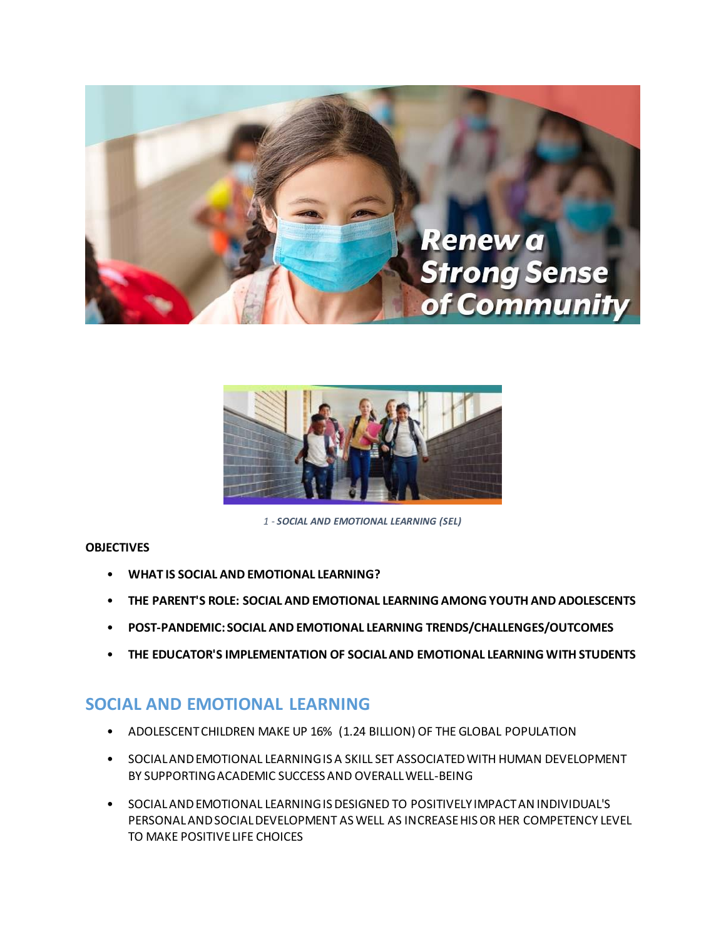



*1 - SOCIAL AND EMOTIONAL LEARNING (SEL)*

## **OBJECTIVES**

- **WHAT IS SOCIAL AND EMOTIONAL LEARNING?**
- **THE PARENT'S ROLE: SOCIAL AND EMOTIONAL LEARNING AMONG YOUTH AND ADOLESCENTS**
- **POST-PANDEMIC: SOCIAL AND EMOTIONAL LEARNING TRENDS/CHALLENGES/OUTCOMES**
- **THE EDUCATOR'S IMPLEMENTATION OF SOCIAL AND EMOTIONAL LEARNING WITH STUDENTS**

## **SOCIAL AND EMOTIONAL LEARNING**

- ADOLESCENT CHILDREN MAKE UP 16% (1.24 BILLION) OF THE GLOBAL POPULATION
- SOCIAL AND EMOTIONAL LEARNING IS A SKILL SET ASSOCIATED WITH HUMAN DEVELOPMENT BY SUPPORTING ACADEMIC SUCCESS AND OVERALL WELL-BEING
- SOCIAL AND EMOTIONAL LEARNING IS DESIGNED TO POSITIVELY IMPACT AN INDIVIDUAL'S PERSONAL AND SOCIAL DEVELOPMENT AS WELL AS INCREASE HIS OR HER COMPETENCY LEVEL TO MAKE POSITIVE LIFE CHOICES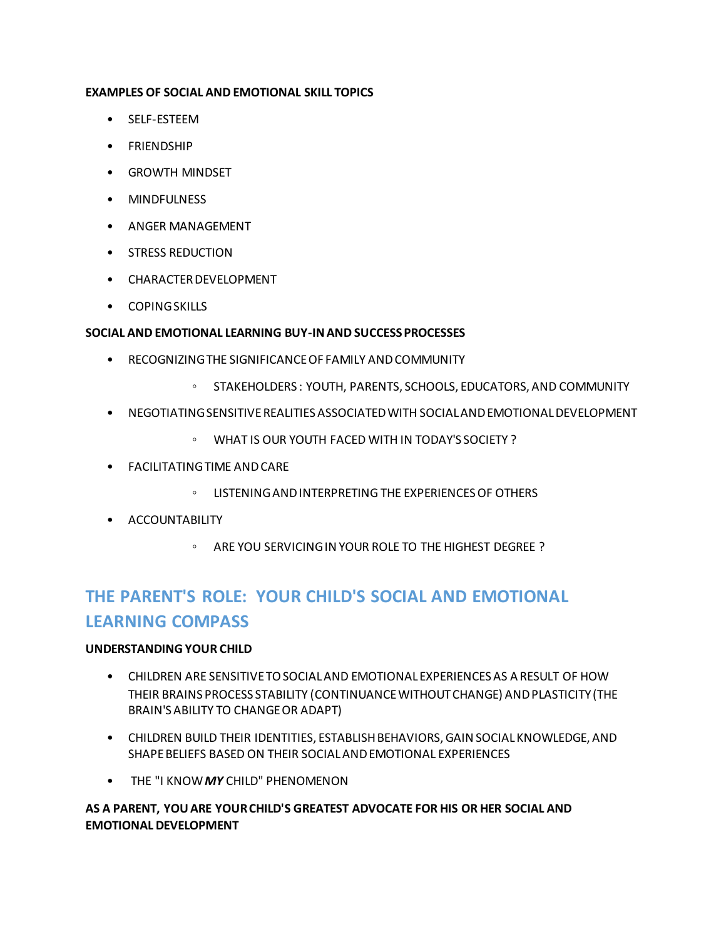## **EXAMPLES OF SOCIAL AND EMOTIONAL SKILL TOPICS**

- SELF-ESTEEM
- FRIENDSHIP
- GROWTH MINDSET
- MINDFULNESS
- ANGER MANAGEMENT
- STRESS REDUCTION
- CHARACTER DEVELOPMENT
- COPING SKILLS

## **SOCIAL AND EMOTIONAL LEARNING BUY-IN AND SUCCESS PROCESSES**

- RECOGNIZING THE SIGNIFICANCE OF FAMILY AND COMMUNITY
	- STAKEHOLDERS : YOUTH, PARENTS, SCHOOLS, EDUCATORS, AND COMMUNITY
- NEGOTIATING SENSITIVE REALITIES ASSOCIATED WITH SOCIAL AND EMOTIONAL DEVELOPMENT
	- WHAT IS OUR YOUTH FACED WITH IN TODAY'S SOCIETY ?
- FACILITATING TIME AND CARE
	- LISTENING AND INTERPRETING THE EXPERIENCES OF OTHERS
- ACCOUNTABILITY
	- ARE YOU SERVICING IN YOUR ROLE TO THE HIGHEST DEGREE ?

# **THE PARENT'S ROLE: YOUR CHILD'S SOCIAL AND EMOTIONAL LEARNING COMPASS**

## **UNDERSTANDING YOUR CHILD**

- CHILDREN ARE SENSITIVE TO SOCIAL AND EMOTIONAL EXPERIENCES AS A RESULT OF HOW THEIR BRAINS PROCESS STABILITY (CONTINUANCE WITHOUT CHANGE) AND PLASTICITY (THE BRAIN'S ABILITY TO CHANGE OR ADAPT)
- CHILDREN BUILD THEIR IDENTITIES, ESTABLISH BEHAVIORS, GAIN SOCIAL KNOWLEDGE, AND SHAPE BELIEFS BASED ON THEIR SOCIAL AND EMOTIONAL EXPERIENCES
- THE "I KNOW *MY* CHILD" PHENOMENON

## **AS A PARENT, YOU ARE YOUR CHILD'S GREATEST ADVOCATE FOR HIS OR HER SOCIAL AND EMOTIONAL DEVELOPMENT**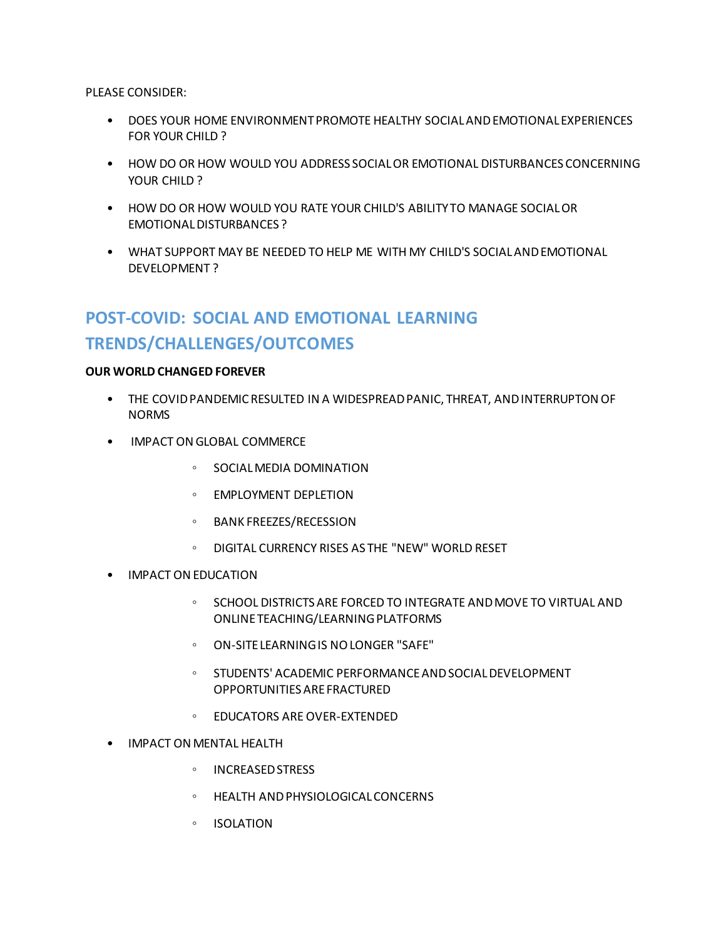PLEASE CONSIDER:

- DOES YOUR HOME ENVIRONMENT PROMOTE HEALTHY SOCIAL AND EMOTIONAL EXPERIENCES FOR YOUR CHILD ?
- HOW DO OR HOW WOULD YOU ADDRESS SOCIAL OR EMOTIONAL DISTURBANCES CONCERNING YOUR CHILD ?
- HOW DO OR HOW WOULD YOU RATE YOUR CHILD'S ABILITY TO MANAGE SOCIAL OR EMOTIONAL DISTURBANCES ?
- WHAT SUPPORT MAY BE NEEDED TO HELP ME WITH MY CHILD'S SOCIAL AND EMOTIONAL DEVELOPMENT ?

# **POST-COVID: SOCIAL AND EMOTIONAL LEARNING TRENDS/CHALLENGES/OUTCOMES**

## **OUR WORLD CHANGED FOREVER**

- THE COVID PANDEMIC RESULTED IN A WIDESPREAD PANIC, THREAT, AND INTERRUPTON OF NORMS
- IMPACT ON GLOBAL COMMERCE
	- SOCIAL MEDIA DOMINATION
	- EMPLOYMENT DEPLETION
	- BANK FREEZES/RECESSION
	- DIGITAL CURRENCY RISES AS THE "NEW" WORLD RESET
- IMPACT ON EDUCATION
	- SCHOOL DISTRICTS ARE FORCED TO INTEGRATE AND MOVE TO VIRTUAL AND ONLINE TEACHING/LEARNING PLATFORMS
	- ON-SITE LEARNING IS NO LONGER "SAFE"
	- STUDENTS' ACADEMIC PERFORMANCE AND SOCIAL DEVELOPMENT OPPORTUNITIES ARE FRACTURED
	- EDUCATORS ARE OVER-EXTENDED
- IMPACT ON MENTAL HEALTH
	- INCREASED STRESS
	- HEALTH AND PHYSIOLOGICAL CONCERNS
	- ISOLATION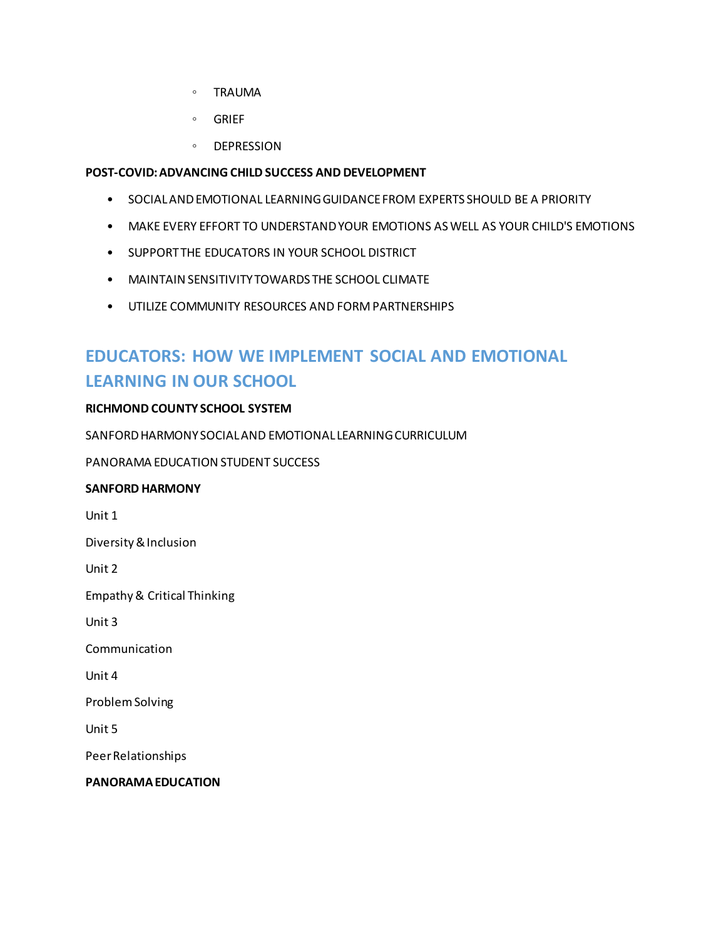- TRAUMA
- GRIEF
- DEPRESSION

## **POST-COVID: ADVANCING CHILD SUCCESS AND DEVELOPMENT**

- SOCIAL AND EMOTIONAL LEARNING GUIDANCE FROM EXPERTS SHOULD BE A PRIORITY
- MAKE EVERY EFFORT TO UNDERSTAND YOUR EMOTIONS AS WELL AS YOUR CHILD'S EMOTIONS
- SUPPORT THE EDUCATORS IN YOUR SCHOOL DISTRICT
- MAINTAIN SENSITIVITY TOWARDS THE SCHOOL CLIMATE
- UTILIZE COMMUNITY RESOURCES AND FORM PARTNERSHIPS

# **EDUCATORS: HOW WE IMPLEMENT SOCIAL AND EMOTIONAL LEARNING IN OUR SCHOOL**

## **RICHMOND COUNTY SCHOOL SYSTEM**

SANFORD HARMONY SOCIAL AND EMOTIONAL LEARNING CURRICULUM

PANORAMA EDUCATION STUDENT SUCCESS

## **SANFORD HARMONY**

Unit 1

Diversity & Inclusion

Unit 2

Empathy & Critical Thinking

Unit 3

Communication

Unit 4

Problem Solving

Unit 5

Peer Relationships

**PANORAMA EDUCATION**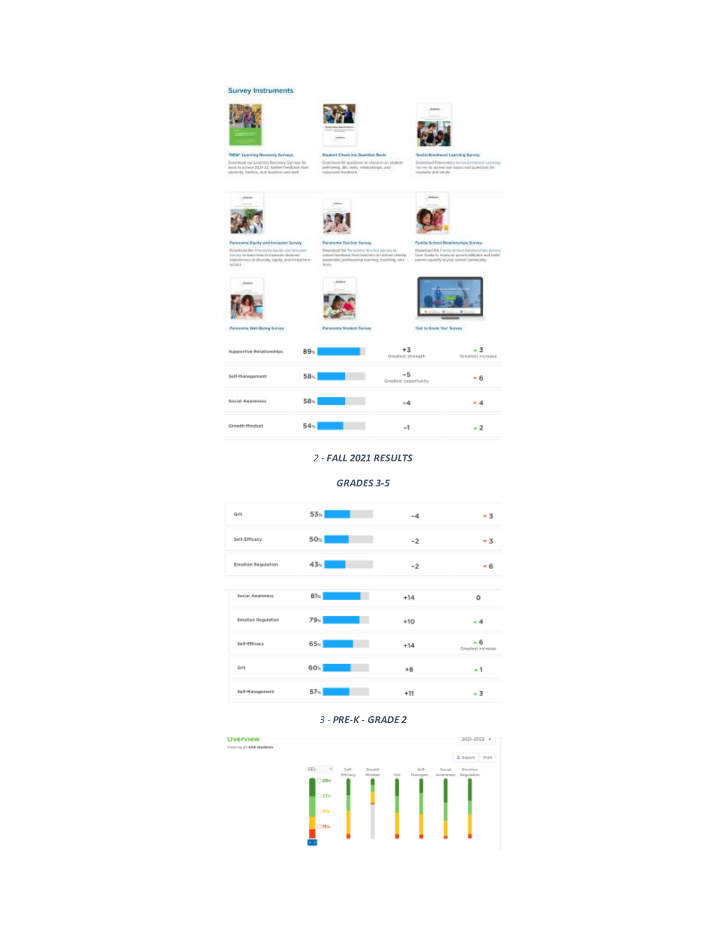#### **Survey Instruments**









of DP (auxilions to check-instrument)



Life Forty School Helsteinstein Surery<br>In to Helstein priority/Illuine and India









| <b>Supportive Relationships</b> | 89 <sub>1</sub> | $+3$<br><b>Oradost strength</b> | - 3<br>Greatest increase |
|---------------------------------|-----------------|---------------------------------|--------------------------|
| Self-Management                 | 58 <sub>1</sub> | -5<br>Greatest opportunity      | - 6                      |
| <b>Social Awareness</b>         | 58 <sub>1</sub> | $-4$                            | 4                        |
| <b>Growth Mindset</b>           | 54 <sub>5</sub> | $-1$                            | - 2                      |

### *2 - FALL 2021 RESULTS*

### *GRADES 3-5*



#### *3 - PRE-K - GRADE 2*

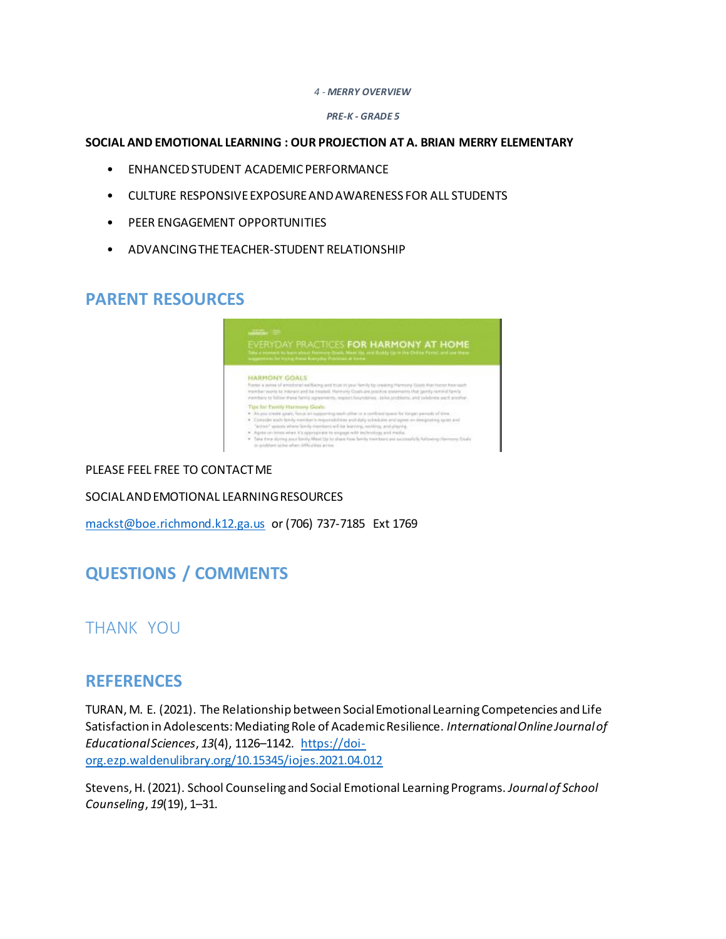#### *4 - MERRY OVERVIEW*

#### *PRE-K - GRADE 5*

### **SOCIAL AND EMOTIONAL LEARNING : OUR PROJECTION AT A. BRIAN MERRY ELEMENTARY**

- ENHANCED STUDENT ACADEMIC PERFORMANCE
- CULTURE RESPONSIVE EXPOSURE AND AWARENESS FOR ALL STUDENTS
- PEER ENGAGEMENT OPPORTUNITIES
- ADVANCING THE TEACHER-STUDENT RELATIONSHIP

## **PARENT RESOURCES**



## PLEASE FEEL FREE TO CONTACT ME

SOCIAL AND EMOTIONAL LEARNING RESOURCES

[mackst@boe.richmond.k12.ga.us](mailto:mackst@boe.richmond.k12.ga.us) or (706) 737-7185 Ext 1769

# **QUESTIONS / COMMENTS**

## THANK YOU

## **REFERENCES**

TURAN, M. E. (2021). The Relationship between Social Emotional Learning Competencies and Life Satisfaction in Adolescents: Mediating Role of Academic Resilience. *International Online Journal of Educational Sciences*, *13*(4), 1126–1142. [https://doi](https://doi-org.ezp.waldenulibrary.org/10.15345/iojes.2021.04.012)[org.ezp.waldenulibrary.org/10.15345/iojes.2021.04.012](https://doi-org.ezp.waldenulibrary.org/10.15345/iojes.2021.04.012)

Stevens, H. (2021). School Counseling and Social Emotional Learning Programs. *Journal of School Counseling*, *19*(19), 1–31.